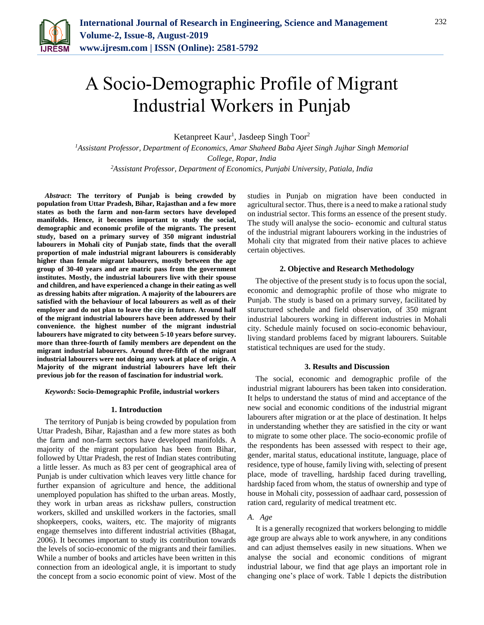

# A Socio-Demographic Profile of Migrant Industrial Workers in Punjab

Ketanpreet Kaur<sup>1</sup>, Jasdeep Singh Toor<sup>2</sup>

*<sup>1</sup>Assistant Professor, Department of Economics, Amar Shaheed Baba Ajeet Singh Jujhar Singh Memorial College, Ropar, India*

*<sup>2</sup>Assistant Professor, Department of Economics, Punjabi University, Patiala, India*

*Abstract***: The territory of Punjab is being crowded by population from Uttar Pradesh, Bihar, Rajasthan and a few more states as both the farm and non-farm sectors have developed manifolds. Hence, it becomes important to study the social, demographic and economic profile of the migrants. The present study, based on a primary survey of 350 migrant industrial labourers in Mohali city of Punjab state, finds that the overall proportion of male industrial migrant labourers is considerably higher than female migrant labourers, mostly between the age group of 30-40 years and are matric pass from the government institutes. Mostly, the industrial labourers live with their spouse and children, and have experienced a change in their eating as well as dressing habits after migration. A majority of the labourers are satisfied with the behaviour of local labourers as well as of their employer and do not plan to leave the city in future. Around half of the migrant industrial labourers have been addressed by their convenience. the highest number of the migrant industrial labourers have migrated to city between 5-10 years before survey. more than three-fourth of family members are dependent on the migrant industrial labourers. Around three-fifth of the migrant industrial labourers were not doing any work at place of origin. A Majority of the migrant industrial labourers have left their previous job for the reason of fascination for industrial work.**

*Keywords***: Socio-Demographic Profile, industrial workers**

#### **1. Introduction**

The territory of Punjab is being crowded by population from Uttar Pradesh, Bihar, Rajasthan and a few more states as both the farm and non-farm sectors have developed manifolds. A majority of the migrant population has been from Bihar, followed by Uttar Pradesh, the rest of Indian states contributing a little lesser. As much as 83 per cent of geographical area of Punjab is under cultivation which leaves very little chance for further expansion of agriculture and hence, the additional unemployed population has shifted to the urban areas. Mostly, they work in urban areas as rickshaw pullers, construction workers, skilled and unskilled workers in the factories, small shopkeepers, cooks, waiters, etc. The majority of migrants engage themselves into different industrial activities (Bhagat, 2006). It becomes important to study its contribution towards the levels of socio-economic of the migrants and their families. While a number of books and articles have been written in this connection from an ideological angle, it is important to study the concept from a socio economic point of view. Most of the studies in Punjab on migration have been conducted in agricultural sector. Thus, there is a need to make a rational study on industrial sector. This forms an essence of the present study. The study will analyse the socio- economic and cultural status of the industrial migrant labourers working in the industries of Mohali city that migrated from their native places to achieve certain objectives.

## **2. Objective and Research Methodology**

The objective of the present study is to focus upon the social, economic and demographic profile of those who migrate to Punjab. The study is based on a primary survey, facilitated by stuructured schedule and field observation, of 350 migrant industrial labourers working in different industries in Mohali city. Schedule mainly focused on socio-economic behaviour, living standard problems faced by migrant labourers. Suitable statistical techniques are used for the study.

## **3. Results and Discussion**

The social, economic and demographic profile of the industrial migrant labourers has been taken into consideration. It helps to understand the status of mind and acceptance of the new social and economic conditions of the industrial migrant labourers after migration or at the place of destination. It helps in understanding whether they are satisfied in the city or want to migrate to some other place. The socio-economic profile of the respondents has been assessed with respect to their age, gender, marital status, educational institute, language, place of residence, type of house, family living with, selecting of present place, mode of travelling, hardship faced during travelling, hardship faced from whom, the status of ownership and type of house in Mohali city, possession of aadhaar card, possession of ration card, regularity of medical treatment etc.

# *A. Age*

It is a generally recognized that workers belonging to middle age group are always able to work anywhere, in any conditions and can adjust themselves easily in new situations. When we analyse the social and economic conditions of migrant industrial labour, we find that age plays an important role in changing one's place of work. Table 1 depicts the distribution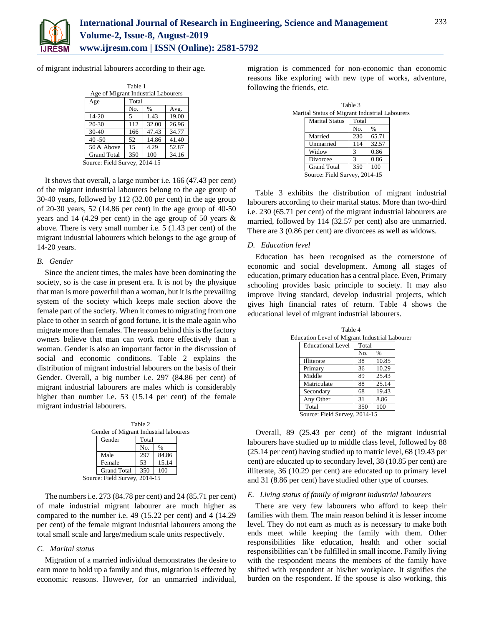

of migrant industrial labourers according to their age.

| Table 1              |                                     |             |       |  |  |
|----------------------|-------------------------------------|-------------|-------|--|--|
|                      | Age of Migrant Industrial Labourers |             |       |  |  |
| Age                  | Total                               |             |       |  |  |
|                      | No.<br>$\%$<br>Avg.                 |             |       |  |  |
| $14 - 20$            | 5                                   | 1.43        | 19.00 |  |  |
| $20 - 30$            | 112                                 | 32.00       | 26.96 |  |  |
| $30-40$              | 166                                 | 47.43       | 34.77 |  |  |
| $40 - 50$            | 52                                  | 14.86       | 41.40 |  |  |
| 50 & Above           | 15                                  | 4.29        | 52.87 |  |  |
| <b>Grand Total</b>   | 350                                 | 100         | 34.16 |  |  |
| Source: Field Survey |                                     | $2014 - 15$ |       |  |  |

Source: Field Survey, 2014-15

It shows that overall, a large number i.e. 166 (47.43 per cent) of the migrant industrial labourers belong to the age group of 30-40 years, followed by 112 (32.00 per cent) in the age group of 20-30 years, 52 (14.86 per cent) in the age group of 40-50 years and 14 (4.29 per cent) in the age group of 50 years & above. There is very small number i.e. 5 (1.43 per cent) of the migrant industrial labourers which belongs to the age group of 14-20 years.

## *B. Gender*

Since the ancient times, the males have been dominating the society, so is the case in present era. It is not by the physique that man is more powerful than a woman, but it is the prevailing system of the society which keeps male section above the female part of the society. When it comes to migrating from one place to other in search of good fortune, it is the male again who migrate more than females. The reason behind this is the factory owners believe that man can work more effectively than a woman. Gender is also an important factor in the discussion of social and economic conditions. Table 2 explains the distribution of migrant industrial labourers on the basis of their Gender. Overall, a big number i.e. 297 (84.86 per cent) of migrant industrial labourers are males which is considerably higher than number i.e. 53 (15.14 per cent) of the female migrant industrial labourers.

Table 2 Gender of Migrant Industrial labourers Gender Total No. % Male 297 84.86 Female 53 15.14 Grand Total 350 100 Source: Field Survey, 2014-15

The numbers i.e. 273 (84.78 per cent) and 24 (85.71 per cent) of male industrial migrant labourer are much higher as compared to the number i.e. 49 (15.22 per cent) and 4 (14.29 per cent) of the female migrant industrial labourers among the total small scale and large/medium scale units respectively.

# *C. Marital status*

Migration of a married individual demonstrates the desire to earn more to hold up a family and thus, migration is effected by economic reasons. However, for an unmarried individual, migration is commenced for non-economic than economic reasons like exploring with new type of works, adventure, following the friends, etc.

|                                                |                        | Table 3 |  |  |
|------------------------------------------------|------------------------|---------|--|--|
| Marital Status of Migrant Industrial Labourers |                        |         |  |  |
|                                                | Marital Status   Total |         |  |  |

| <b>Marital Status</b>         | Total |               |
|-------------------------------|-------|---------------|
|                               | No.   | $\frac{0}{0}$ |
| Married                       | 230   | 65.71         |
| Unmarried                     | 114   | 32.57         |
| Widow                         | 3     | 0.86          |
| Divorcee                      |       | 0.86          |
| <b>Grand Total</b>            | 350   | 100           |
| Source: Field Survey, 2014-15 |       |               |

Table 3 exhibits the distribution of migrant industrial labourers according to their marital status. More than two-third i.e. 230 (65.71 per cent) of the migrant industrial labourers are married, followed by 114 (32.57 per cent) also are unmarried. There are 3 (0.86 per cent) are divorcees as well as widows.

# *D. Education level*

Education has been recognised as the cornerstone of economic and social development. Among all stages of education, primary education has a central place. Even, Primary schooling provides basic principle to society. It may also improve living standard, develop industrial projects, which gives high financial rates of return. Table 4 shows the educational level of migrant industrial labourers.

| Equeation Level of Migrant Industrial Labo<br><b>Educational Level</b> | Total |               |
|------------------------------------------------------------------------|-------|---------------|
|                                                                        |       |               |
|                                                                        | No.   | $\frac{0}{0}$ |
| Illiterate                                                             | 38    | 10.85         |
| Primary                                                                | 36    | 10.29         |
| Middle                                                                 | 89    | 25.43         |
| Matriculate                                                            | 88    | 25.14         |
| Secondary                                                              | 68    | 19.43         |
| Any Other                                                              | 31    | 8.86          |
| Total                                                                  | 350   | 100           |
| Source: Field Survey, 2014-15                                          |       |               |

Table 4 Education Level of Migrant Industrial Labourer

Overall, 89 (25.43 per cent) of the migrant industrial labourers have studied up to middle class level, followed by 88 (25.14 per cent) having studied up to matric level, 68 (19.43 per cent) are educated up to secondary level, 38 (10.85 per cent) are illiterate, 36 (10.29 per cent) are educated up to primary level and 31 (8.86 per cent) have studied other type of courses.

## *E. Living status of family of migrant industrial labourers*

There are very few labourers who afford to keep their families with them. The main reason behind it is lesser income level. They do not earn as much as is necessary to make both ends meet while keeping the family with them. Other responsibilities like education, health and other social responsibilities can't be fulfilled in small income. Family living with the respondent means the members of the family have shifted with respondent at his/her workplace. It signifies the burden on the respondent. If the spouse is also working, this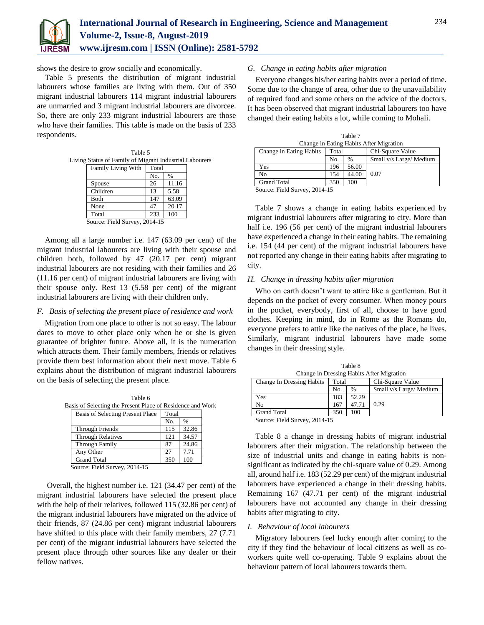

shows the desire to grow socially and economically.

Table 5 presents the distribution of migrant industrial labourers whose families are living with them. Out of 350 migrant industrial labourers 114 migrant industrial labourers are unmarried and 3 migrant industrial labourers are divorcee. So, there are only 233 migrant industrial labourers are those who have their families. This table is made on the basis of 233 respondents.

| Table 5                                                                                           |  |
|---------------------------------------------------------------------------------------------------|--|
| Living Status of Family of Migrant Industrial Labourers                                           |  |
| $\mathbf{r}$ and $\mathbf{r}$ are $\mathbf{r}$ and $\mathbf{r}$ are $\mathbf{r}$ and $\mathbf{r}$ |  |

|                               | <b>Family Living With</b> | Total |               |
|-------------------------------|---------------------------|-------|---------------|
|                               |                           | No.   | $\frac{0}{0}$ |
|                               | Spouse                    | 26    | 11.16         |
|                               | Children                  | 13    | 5.58          |
|                               | Both                      | 147   | 63.09         |
|                               | None                      | 47    | 20.17         |
|                               | Total                     | 233   | 100           |
| Source: Field Survey, 2014-15 |                           |       |               |

Among all a large number i.e. 147 (63.09 per cent) of the migrant industrial labourers are living with their spouse and children both, followed by 47 (20.17 per cent) migrant industrial labourers are not residing with their families and 26 (11.16 per cent) of migrant industrial labourers are living with their spouse only. Rest 13 (5.58 per cent) of the migrant industrial labourers are living with their children only.

# *F. Basis of selecting the present place of residence and work*

Migration from one place to other is not so easy. The labour dares to move to other place only when he or she is given guarantee of brighter future. Above all, it is the numeration which attracts them. Their family members, friends or relatives provide them best information about their next move. Table 6 explains about the distribution of migrant industrial labourers on the basis of selecting the present place.

| Table 6                                                    |       |       |  |
|------------------------------------------------------------|-------|-------|--|
| Basis of Selecting the Present Place of Residence and Work |       |       |  |
| Basis of Selecting Present Place                           | Total |       |  |
|                                                            | No.   | %     |  |
| Through Friends                                            | 115   | 32.86 |  |
| <b>Through Relatives</b>                                   | 121   | 34.57 |  |
| <b>Through Family</b>                                      | 87    | 24.86 |  |
| Any Other                                                  | 27    | 7.71  |  |
| <b>Grand Total</b>                                         | 350   | 100   |  |
| Source: Field Survey, 2014-15                              |       |       |  |

Overall, the highest number i.e. 121 (34.47 per cent) of the migrant industrial labourers have selected the present place with the help of their relatives, followed 115 (32.86 per cent) of the migrant industrial labourers have migrated on the advice of their friends, 87 (24.86 per cent) migrant industrial labourers have shifted to this place with their family members, 27 (7.71) per cent) of the migrant industrial labourers have selected the present place through other sources like any dealer or their fellow natives.

# *G. Change in eating habits after migration*

Everyone changes his/her eating habits over a period of time. Some due to the change of area, other due to the unavailability of required food and some others on the advice of the doctors. It has been observed that migrant industrial labourers too have changed their eating habits a lot, while coming to Mohali.

| Change in Eating Habits After Migration |       |               |                         |  |  |
|-----------------------------------------|-------|---------------|-------------------------|--|--|
| Change in Eating Habits                 | Total |               | Chi-Square Value        |  |  |
|                                         | No.   | $\frac{0}{0}$ | Small v/s Large/ Medium |  |  |
| Yes                                     | 196   | 56.00         |                         |  |  |
| N <sub>0</sub>                          | 154   | 44.00         | 0.07                    |  |  |
| <b>Grand Total</b>                      | 350   | 100           |                         |  |  |
| $C = \Gamma'$ 110 $0.01417$             |       |               |                         |  |  |

Table 7

Source: Field Survey, 2014-15

Table 7 shows a change in eating habits experienced by migrant industrial labourers after migrating to city. More than half i.e. 196 (56 per cent) of the migrant industrial labourers have experienced a change in their eating habits. The remaining i.e. 154 (44 per cent) of the migrant industrial labourers have not reported any change in their eating habits after migrating to city.

## *H. Change in dressing habits after migration*

Who on earth doesn't want to attire like a gentleman. But it depends on the pocket of every consumer. When money pours in the pocket, everybody, first of all, choose to have good clothes. Keeping in mind, do in Rome as the Romans do, everyone prefers to attire like the natives of the place, he lives. Similarly, migrant industrial labourers have made some changes in their dressing style.

| .                                         |       |               |                         |  |  |
|-------------------------------------------|-------|---------------|-------------------------|--|--|
| Change in Dressing Habits After Migration |       |               |                         |  |  |
| <b>Change In Dressing Habits</b>          | Total |               | Chi-Square Value        |  |  |
|                                           | No.   | $\frac{0}{0}$ | Small v/s Large/ Medium |  |  |
| Yes                                       | 183   | 52.29         |                         |  |  |
| No                                        | 167   | 47.71         | 0.29                    |  |  |

Table 8

Source: Field Survey, 2014-15

Grand Total 350 | 100

Table 8 a change in dressing habits of migrant industrial labourers after their migration. The relationship between the size of industrial units and change in eating habits is nonsignificant as indicated by the chi-square value of 0.29. Among all, around half i.e. 183 (52.29 per cent) of the migrant industrial labourers have experienced a change in their dressing habits. Remaining 167 (47.71 per cent) of the migrant industrial labourers have not accounted any change in their dressing habits after migrating to city.

## *I. Behaviour of local labourers*

Migratory labourers feel lucky enough after coming to the city if they find the behaviour of local citizens as well as coworkers quite well co-operating. Table 9 explains about the behaviour pattern of local labourers towards them.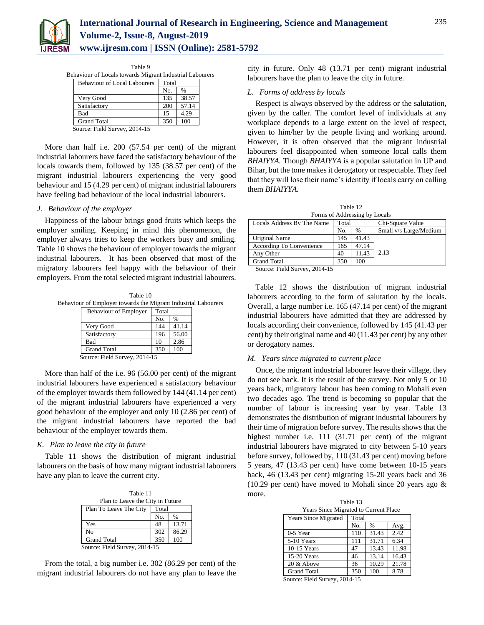

| l able 9                                                 |       |       |  |
|----------------------------------------------------------|-------|-------|--|
| Behaviour of Locals towards Migrant Industrial Labourers |       |       |  |
| <b>Behaviour of Local Labourers</b>                      | Total |       |  |
|                                                          | No.   | $\%$  |  |
| Very Good                                                | 135   | 38.57 |  |
| Satisfactory                                             | 200   | 57.14 |  |
| Bad                                                      | 15    | 4.29  |  |
| <b>Grand Total</b>                                       | 350   |       |  |

 $T<sub>1</sub>$  9  $\alpha$ 

Source: Field Survey, 2014-15

More than half i.e. 200 (57.54 per cent) of the migrant industrial labourers have faced the satisfactory behaviour of the locals towards them, followed by 135 (38.57 per cent) of the migrant industrial labourers experiencing the very good behaviour and 15 (4.29 per cent) of migrant industrial labourers have feeling bad behaviour of the local industrial labourers.

# *J. Behaviour of the employer*

Happiness of the labour brings good fruits which keeps the employer smiling. Keeping in mind this phenomenon, the employer always tries to keep the workers busy and smiling. Table 10 shows the behaviour of employer towards the migrant industrial labourers. It has been observed that most of the migratory labourers feel happy with the behaviour of their employers. From the total selected migrant industrial labourers.

Table 10 Behaviour of Employer towards the Migrant Industrial Labourers

| <b>Behaviour of Employer</b>  | Total |       |
|-------------------------------|-------|-------|
|                               | No.   | $\%$  |
| Very Good                     | 144   | 41.14 |
| Satisfactory                  | 196   | 56.00 |
| Bad                           | 10    | 2.86  |
| <b>Grand Total</b>            | 350   | 100   |
| Source: Field Survey, 2014-15 |       |       |

More than half of the i.e. 96 (56.00 per cent) of the migrant industrial labourers have experienced a satisfactory behaviour of the employer towards them followed by 144 (41.14 per cent) of the migrant industrial labourers have experienced a very good behaviour of the employer and only 10 (2.86 per cent) of the migrant industrial labourers have reported the bad behaviour of the employer towards them.

#### *K. Plan to leave the city in future*

Table 11 shows the distribution of migrant industrial labourers on the basis of how many migrant industrial labourers have any plan to leave the current city.

Table 11 Plan to Leave the City in Future Plan To Leave The City | Total No. Yes 48 13.71 No 302 86.29 Grand Total 350 100 Source: Field Survey, 2014-15

From the total, a big number i.e. 302 (86.29 per cent) of the migrant industrial labourers do not have any plan to leave the city in future. Only 48 (13.71 per cent) migrant industrial labourers have the plan to leave the city in future.

## *L. Forms of address by locals*

Respect is always observed by the address or the salutation, given by the caller. The comfort level of individuals at any workplace depends to a large extent on the level of respect, given to him/her by the people living and working around. However, it is often observed that the migrant industrial labourers feel disappointed when someone local calls them *BHAIYYA.* Though *BHAIYYA* is a popular salutation in UP and Bihar, but the tone makes it derogatory or respectable. They feel that they will lose their name's identity if locals carry on calling them *BHAIYYA.*

Table 12 Forms of Addressing by Locals

| I OHIIS OF TRADICSSING UY LOCARS              |       |       |                        |  |  |
|-----------------------------------------------|-------|-------|------------------------|--|--|
| Locals Address By The Name                    | Total |       | Chi-Square Value       |  |  |
|                                               | No.   | $\%$  | Small v/s Large/Medium |  |  |
| Original Name                                 | 145   | 41.43 |                        |  |  |
| According To Convenience                      | 165   | 47.14 |                        |  |  |
| Any Other                                     | 40    | 11.43 | 2.13                   |  |  |
| <b>Grand Total</b>                            | 350   | 100   |                        |  |  |
| $\sim$ $\sim$ $\sim$ $\sim$<br>----<br>$\sim$ |       |       |                        |  |  |

Source: Field Survey, 2014-15

Table 12 shows the distribution of migrant industrial labourers according to the form of salutation by the locals. Overall, a large number i.e. 165 (47.14 per cent) of the migrant industrial labourers have admitted that they are addressed by locals according their convenience, followed by 145 (41.43 per cent) by their original name and 40 (11.43 per cent) by any other or derogatory names.

#### *M. Years since migrated to current place*

Once, the migrant industrial labourer leave their village, they do not see back. It is the result of the survey. Not only 5 or 10 years back, migratory labour has been coming to Mohali even two decades ago. The trend is becoming so popular that the number of labour is increasing year by year. Table 13 demonstrates the distribution of migrant industrial labourers by their time of migration before survey. The results shows that the highest number i.e. 111 (31.71 per cent) of the migrant industrial labourers have migrated to city between 5-10 years before survey, followed by, 110 (31.43 per cent) moving before 5 years, 47 (13.43 per cent) have come between 10-15 years back, 46 (13.43 per cent) migrating 15-20 years back and 36  $(10.29 \text{ per cent})$  have moved to Mohali since 20 years ago  $\&$ more.

| Table 13                              |       |       |  |  |  |  |
|---------------------------------------|-------|-------|--|--|--|--|
| Years Since Migrated to Current Place |       |       |  |  |  |  |
|                                       | Total |       |  |  |  |  |
| No.                                   | %     | Avg.  |  |  |  |  |
| 110                                   | 31.43 | 2.42  |  |  |  |  |
| 111                                   | 31.71 | 6.34  |  |  |  |  |
| 47                                    | 13.43 | 11.98 |  |  |  |  |
| 46                                    | 13.14 | 16.43 |  |  |  |  |
| 36                                    | 10.29 | 21.78 |  |  |  |  |
| 350                                   | 100   | 8.78  |  |  |  |  |
|                                       |       |       |  |  |  |  |

Source: Field Survey, 2014-15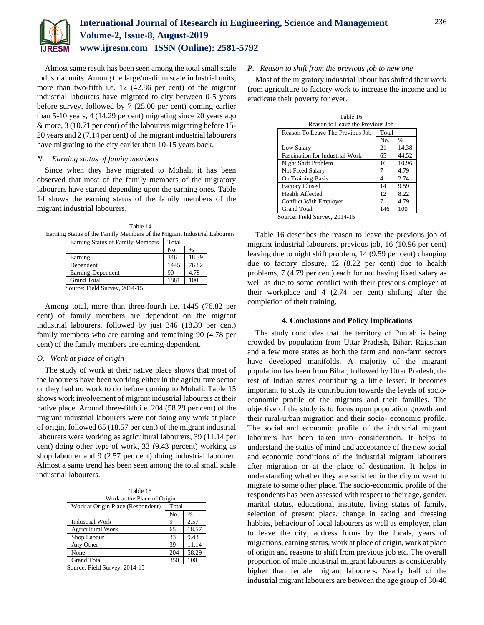

Almost same result has been seen among the total small scale industrial units. Among the large/medium scale industrial units, more than two-fifth i.e. 12 (42.86 per cent) of the migrant industrial labourers have migrated to city between 0-5 years before survey, followed by 7 (25.00 per cent) coming earlier than 5-10 years, 4 (14.29 percent) migrating since 20 years ago & more, 3 (10.71 per cent) of the labourers migrating before 15- 20 years and 2 (7.14 per cent) of the migrant industrial labourers have migrating to the city earlier than 10-15 years back.

### *N. Earning status of family members*

Since when they have migrated to Mohali, it has been observed that most of the family members of the migratory labourers have started depending upon the earning ones. Table 14 shows the earning status of the family members of the migrant industrial labourers.

Table 14 Earning Status of the Family Members of the Migrant Industrial Labourers

| <b>Earning Status of Family Members</b>                           | Total |               |
|-------------------------------------------------------------------|-------|---------------|
|                                                                   | No.   | $\frac{0}{0}$ |
| Earning                                                           | 346   | 18.39         |
| Dependent                                                         | 1445  | 76.82         |
| Earning-Dependent                                                 | 90    | 4.78          |
| <b>Grand Total</b>                                                | 1881  | 100           |
| $C_{\text{out}}$ $C_{\text{old}}$ $C_{\text{out}}$ $\sim$ 0014 15 |       |               |

Source: Field Survey, 2014-15

Among total, more than three-fourth i.e. 1445 (76.82 per cent) of family members are dependent on the migrant industrial labourers, followed by just 346 (18.39 per cent) family members who are earning and remaining 90 (4.78 per cent) of the family members are earning-dependent.

#### *O. Work at place of origin*

The study of work at their native place shows that most of the labourers have been working either in the agriculture sector or they had no work to do before coming to Mohali. Table 15 shows work involvement of migrant industrial labourers at their native place. Around three-fifth i.e. 204 (58.29 per cent) of the migrant industrial labourers were not doing any work at place of origin, followed 65 (18.57 per cent) of the migrant industrial labourers were working as agricultural labourers, 39 (11.14 per cent) doing other type of work, 33 (9.43 percent) working as shop labourer and 9 (2.57 per cent) doing industrial labourer. Almost a same trend has been seen among the total small scale industrial labourers.

Table 15 Work at the Place of Origin

| $\ldots$ of the time is those of original |       |               |  |
|-------------------------------------------|-------|---------------|--|
| Work at Origin Place (Respondent)         | Total |               |  |
|                                           | No.   | $\frac{0}{0}$ |  |
| <b>Industrial Work</b>                    | 9     | 2.57          |  |
| <b>Agricultural Work</b>                  | 65    | 18.57         |  |
| Shop Labour                               | 33    | 9.43          |  |
| Any Other                                 | 39    | 11.14         |  |
| None                                      | 204   | 58.29         |  |
| <b>Grand Total</b>                        | 350   | 100           |  |

Source: Field Survey, 2014-15

## *P. Reason to shift from the previous job to new one*

Most of the migratory industrial labour has shifted their work from agriculture to factory work to increase the income and to eradicate their poverty for ever.

| Table 16                               |       |               |  |  |
|----------------------------------------|-------|---------------|--|--|
| Reason to Leave the Previous Job       |       |               |  |  |
| Reason To Leave The Previous Job       | Total |               |  |  |
|                                        | No.   | $\frac{0}{0}$ |  |  |
| Low Salary                             | 21    | 14.38         |  |  |
| <b>Fascination for Industrial Work</b> | 65    | 44.52         |  |  |
| Night Shift Problem                    | 16    | 10.96         |  |  |
| Not Fixed Salary                       | 7     | 4.79          |  |  |
| On Training Basis                      | 4     | 2.74          |  |  |
| <b>Factory Closed</b>                  | 14    | 9.59          |  |  |
| <b>Health Affected</b>                 | 12    | 8.22          |  |  |
| <b>Conflict With Employer</b>          | 7     | 4.79          |  |  |
| <b>Grand Total</b>                     | 146   | 100           |  |  |
| Source: Field Survey, 2014-15          |       |               |  |  |

Table 16 describes the reason to leave the previous job of migrant industrial labourers. previous job, 16 (10.96 per cent) leaving due to night shift problem, 14 (9.59 per cent) changing due to factory closure, 12 (8.22 per cent) due to health problems, 7 (4.79 per cent) each for not having fixed salary as well as due to some conflict with their previous employer at their workplace and 4 (2.74 per cent) shifting after the completion of their training.

#### **4. Conclusions and Policy Implications**

The study concludes that the territory of Punjab is being crowded by population from Uttar Pradesh, Bihar, Rajasthan and a few more states as both the farm and non-farm sectors have developed manifolds. A majority of the migrant population has been from Bihar, followed by Uttar Pradesh, the rest of Indian states contributing a little lesser. It becomes important to study its contribution towards the levels of socioeconomic profile of the migrants and their families. The objective of the study is to focus upon population growth and their rural-urban migration and their socio- economic profile. The social and economic profile of the industrial migrant labourers has been taken into consideration. It helps to understand the status of mind and acceptance of the new social and economic conditions of the industrial migrant labourers after migration or at the place of destination. It helps in understanding whether they are satisfied in the city or want to migrate to some other place. The socio-economic profile of the respondents has been assessed with respect to their age, gender, marital status, educational institute, living status of family, selection of present place, change in eating and dressing habbits, behaviour of local labourers as well as employer, plan to leave the city, address forms by the locals, years of migrations, earning status, work at place of origin, work at place of origin and reasons to shift from previous job etc. The overall proportion of male industrial migrant labourers is considerably higher than female migrant labourers. Nearly half of the industrial migrant labourers are between the age group of 30-40